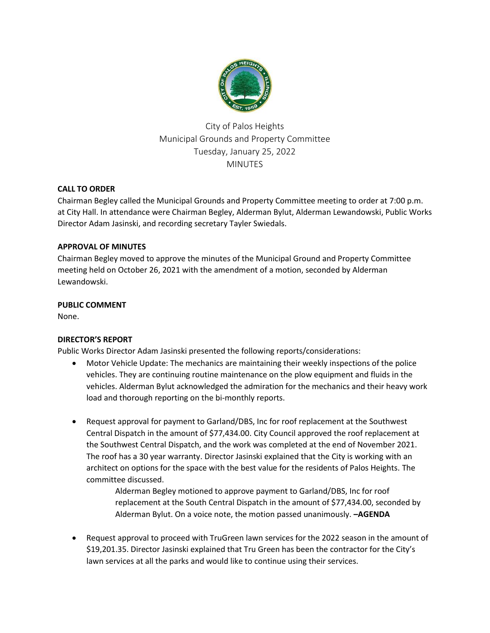

City of Palos Heights Municipal Grounds and Property Committee Tuesday, January 25, 2022 MINUTES

# **CALL TO ORDER**

Chairman Begley called the Municipal Grounds and Property Committee meeting to order at 7:00 p.m. at City Hall. In attendance were Chairman Begley, Alderman Bylut, Alderman Lewandowski, Public Works Director Adam Jasinski, and recording secretary Tayler Swiedals.

# **APPROVAL OF MINUTES**

Chairman Begley moved to approve the minutes of the Municipal Ground and Property Committee meeting held on October 26, 2021 with the amendment of a motion, seconded by Alderman Lewandowski.

# **PUBLIC COMMENT**

None.

# **DIRECTOR'S REPORT**

Public Works Director Adam Jasinski presented the following reports/considerations:

- Motor Vehicle Update: The mechanics are maintaining their weekly inspections of the police vehicles. They are continuing routine maintenance on the plow equipment and fluids in the vehicles. Alderman Bylut acknowledged the admiration for the mechanics and their heavy work load and thorough reporting on the bi-monthly reports.
- Request approval for payment to Garland/DBS, Inc for roof replacement at the Southwest Central Dispatch in the amount of \$77,434.00. City Council approved the roof replacement at the Southwest Central Dispatch, and the work was completed at the end of November 2021. The roof has a 30 year warranty. Director Jasinski explained that the City is working with an architect on options for the space with the best value for the residents of Palos Heights. The committee discussed.

Alderman Begley motioned to approve payment to Garland/DBS, Inc for roof replacement at the South Central Dispatch in the amount of \$77,434.00, seconded by Alderman Bylut. On a voice note, the motion passed unanimously. **–AGENDA**

 Request approval to proceed with TruGreen lawn services for the 2022 season in the amount of \$19,201.35. Director Jasinski explained that Tru Green has been the contractor for the City's lawn services at all the parks and would like to continue using their services.